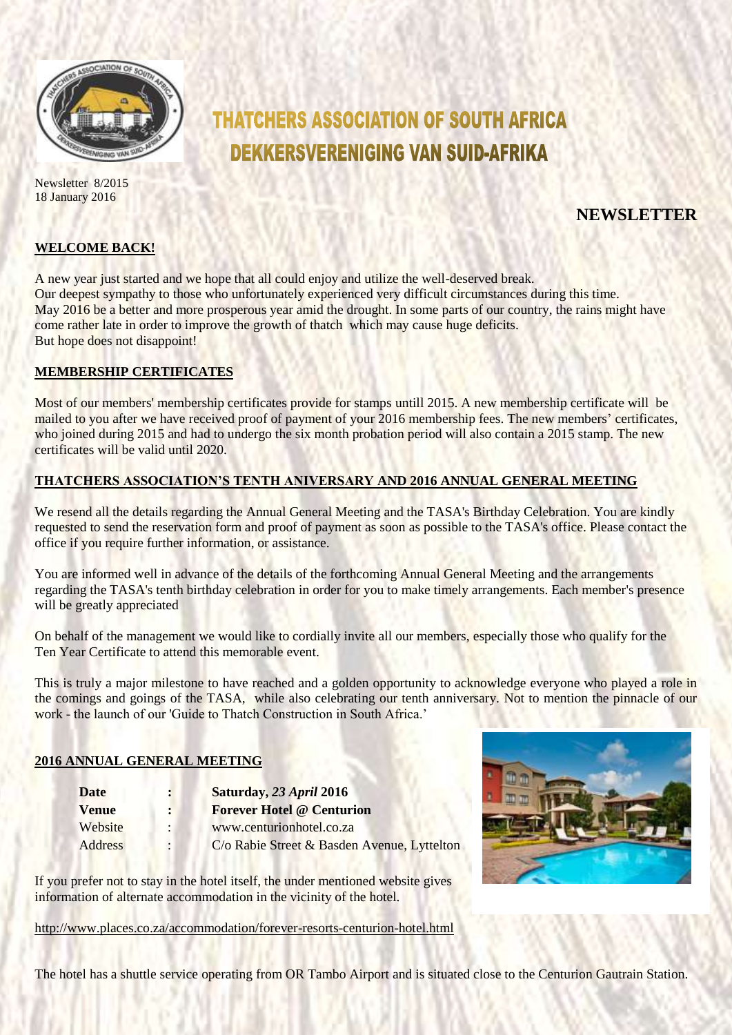

Newsletter 8/2015 18 January 2016

# **THATCHERS ASSOCIATION OF SOUTH AFRICA DEKKERSVERENIGING VAN SUID-AFRIKA**

## **NEWSLETTER**

#### **WELCOME BACK!**

A new year just started and we hope that all could enjoy and utilize the well-deserved break. Our deepest sympathy to those who unfortunately experienced very difficult circumstances during this time. May 2016 be a better and more prosperous year amid the drought. In some parts of our country, the rains might have come rather late in order to improve the growth of thatch which may cause huge deficits. But hope does not disappoint!

#### **MEMBERSHIP CERTIFICATES**

Most of our members' membership certificates provide for stamps untill 2015. A new membership certificate will be mailed to you after we have received proof of payment of your 2016 membership fees. The new members' certificates, who joined during 2015 and had to undergo the six month probation period will also contain a 2015 stamp. The new certificates will be valid until 2020.

#### **THATCHERS ASSOCIATION'S TENTH ANIVERSARY AND 2016 ANNUAL GENERAL MEETING**

We resend all the details regarding the Annual General Meeting and the TASA's Birthday Celebration. You are kindly requested to send the reservation form and proof of payment as soon as possible to the TASA's office. Please contact the office if you require further information, or assistance.

You are informed well in advance of the details of the forthcoming Annual General Meeting and the arrangements regarding the TASA's tenth birthday celebration in order for you to make timely arrangements. Each member's presence will be greatly appreciated

On behalf of the management we would like to cordially invite all our members, especially those who qualify for the Ten Year Certificate to attend this memorable event.

This is truly a major milestone to have reached and a golden opportunity to acknowledge everyone who played a role in the comings and goings of the TASA, while also celebrating our tenth anniversary. Not to mention the pinnacle of our work - the launch of our 'Guide to Thatch Construction in South Africa.'

#### **2016 ANNUAL GENERAL MEETING**

| Date         | $\mathbf{r}$         | Saturday, 23 April 2016                     |
|--------------|----------------------|---------------------------------------------|
| <b>Venue</b> | $\ddot{\phantom{a}}$ | <b>Forever Hotel @ Centurion</b>            |
| Website      |                      | www.centurionhotel.co.za                    |
| Address      |                      | C/o Rabie Street & Basden Avenue, Lyttelton |



If you prefer not to stay in the hotel itself, the under mentioned website gives information of alternate accommodation in the vicinity of the hotel.

<http://www.places.co.za/accommodation/forever-resorts-centurion-hotel.html>

The hotel has a shuttle service operating from OR Tambo Airport and is situated close to the Centurion Gautrain Station.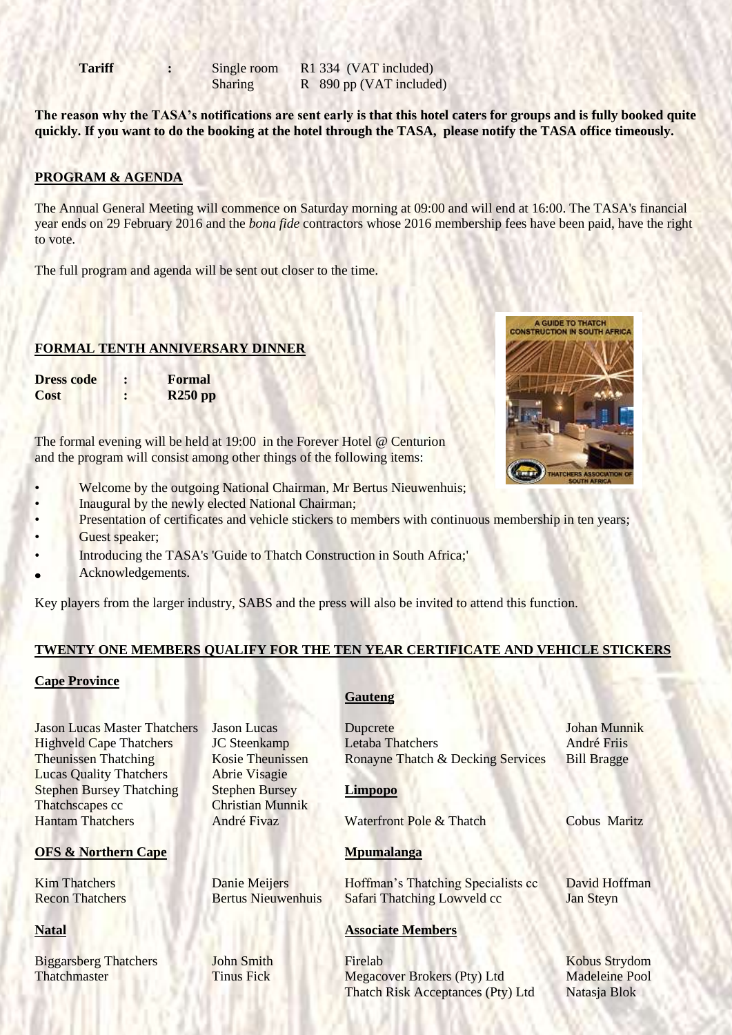**Tariff :** Single room R1 334 (VAT included) Sharing R 890 pp (VAT included)

**The reason why the TASA's notifications are sent early is that this hotel caters for groups and is fully booked quite quickly. If you want to do the booking at the hotel through the TASA, please notify the TASA office timeously.** 

### **PROGRAM & AGENDA**

The Annual General Meeting will commence on Saturday morning at 09:00 and will end at 16:00. The TASA's financial year ends on 29 February 2016 and the *bona fide* contractors whose 2016 membership fees have been paid, have the right to vote.

The full program and agenda will be sent out closer to the time.

#### **FORMAL TENTH ANNIVERSARY DINNER**

**Dress code : Formal Cost : R250 pp**

The formal evening will be held at 19:00 in the Forever Hotel @ Centurion and the program will consist among other things of the following items:

- Welcome by the outgoing National Chairman, Mr Bertus Nieuwenhuis;
- Inaugural by the newly elected National Chairman;
- Presentation of certificates and vehicle stickers to members with continuous membership in ten years; Guest speaker;
- Introducing the TASA's 'Guide to Thatch Construction in South Africa;'
- Acknowledgements.

Key players from the larger industry, SABS and the press will also be invited to attend this function.

#### **TWENTY ONE MEMBERS QUALIFY FOR THE TEN YEAR CERTIFICATE AND VEHICLE STICKERS**

#### **Cape Province**

**Lucas Quality Thatchers** Abrie Visagie Stephen Bursey Thatching Stephen Bursey **Limpopo** Thatchscapes cc Christian Munnik

#### **OFS & Northern Cape Mpumalanga**

#### **Gauteng**

Jason Lucas Master Thatchers Jason Lucas Dupcrete Johan Munnik Highveld Cape Thatchers JC Steenkamp Letaba Thatchers André Friis Theunissen Thatching Kosie Theunissen Ronayne Thatch & Decking Services Bill Bragge Hantam Thatchers André Fivaz Waterfront Pole & Thatch Cobus Maritz

Kim Thatchers **Danie Meijers** Hoffman's Thatching Specialists cc David Hoffman Recon Thatchers Bertus Nieuwenhuis Safari Thatching Lowveld cc Jan Steyn

#### **Natal Associate Members**

Biggarsberg Thatchers **John Smith** Firelab **Firelab** Kobus Strydom **Thatchmaster Tinus Fick Megacover Brokers (Pty) Ltd Madeleine Pool** Thatch Risk Acceptances (Pty) Ltd Natasja Blok